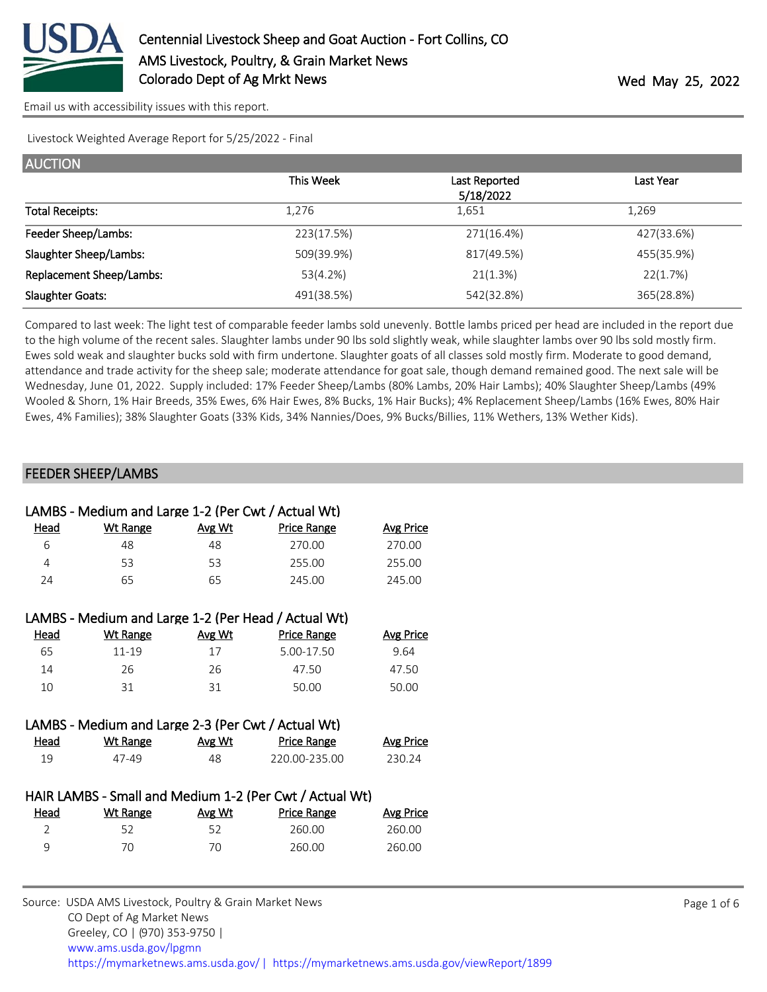

Livestock Weighted Average Report for 5/25/2022 - Final

| <b>AUCTION</b>           |            |                            |            |
|--------------------------|------------|----------------------------|------------|
|                          | This Week  | Last Reported<br>5/18/2022 | Last Year  |
| <b>Total Receipts:</b>   | 1.276      | 1,651                      | 1,269      |
| Feeder Sheep/Lambs:      | 223(17.5%) | 271(16.4%)                 | 427(33.6%) |
| Slaughter Sheep/Lambs:   | 509(39.9%) | 817(49.5%)                 | 455(35.9%) |
| Replacement Sheep/Lambs: | 53(4.2%)   | 21(1.3%)                   | 22(1.7%)   |
| <b>Slaughter Goats:</b>  | 491(38.5%) | 542(32.8%)                 | 365(28.8%) |

Compared to last week: The light test of comparable feeder lambs sold unevenly. Bottle lambs priced per head are included in the report due to the high volume of the recent sales. Slaughter lambs under 90 lbs sold slightly weak, while slaughter lambs over 90 lbs sold mostly firm. Ewes sold weak and slaughter bucks sold with firm undertone. Slaughter goats of all classes sold mostly firm. Moderate to good demand, attendance and trade activity for the sheep sale; moderate attendance for goat sale, though demand remained good. The next sale will be Wednesday, June 01, 2022. Supply included: 17% Feeder Sheep/Lambs (80% Lambs, 20% Hair Lambs); 40% Slaughter Sheep/Lambs (49% Wooled & Shorn, 1% Hair Breeds, 35% Ewes, 6% Hair Ewes, 8% Bucks, 1% Hair Bucks); 4% Replacement Sheep/Lambs (16% Ewes, 80% Hair Ewes, 4% Families); 38% Slaughter Goats (33% Kids, 34% Nannies/Does, 9% Bucks/Billies, 11% Wethers, 13% Wether Kids).

#### FEEDER SHEEP/LAMBS

|                | LAMBS - Medium and Large 1-2 (Per Cwt / Actual Wt) |               |                                                         |                  |
|----------------|----------------------------------------------------|---------------|---------------------------------------------------------|------------------|
| Head           | <b>Wt Range</b>                                    | Avg Wt        | <b>Price Range</b>                                      | <b>Avg Price</b> |
| 6              | 48                                                 | 48            | 270.00                                                  | 270.00           |
| 4              | 53                                                 | 53            | 255.00                                                  | 255.00           |
| 24             | 65                                                 | 65            | 245.00                                                  | 245.00           |
|                |                                                    |               |                                                         |                  |
|                |                                                    |               | LAMBS - Medium and Large 1-2 (Per Head / Actual Wt)     |                  |
| Head           | <b>Wt Range</b>                                    | <b>Avg Wt</b> | <b>Price Range</b>                                      | <b>Avg Price</b> |
| 65             | $11 - 19$                                          | 17            | 5.00-17.50                                              | 9.64             |
| 14             | 26                                                 | 26            | 47.50                                                   | 47.50            |
| 10             | 31                                                 | 31            | 50.00                                                   | 50.00            |
|                |                                                    |               |                                                         |                  |
|                | LAMBS - Medium and Large 2-3 (Per Cwt / Actual Wt) |               |                                                         |                  |
| <u>Head</u>    | <b>Wt Range</b>                                    | Avg Wt        | <b>Price Range</b>                                      | <b>Avg Price</b> |
| 19             | 47-49                                              | 48            | 220.00-235.00                                           | 230.24           |
|                |                                                    |               |                                                         |                  |
|                |                                                    |               | HAIR LAMBS - Small and Medium 1-2 (Per Cwt / Actual Wt) |                  |
| Head           | <b>Wt Range</b>                                    | <b>Avg Wt</b> | <b>Price Range</b>                                      | <b>Avg Price</b> |
| $\overline{2}$ | 52                                                 | 52            | 260.00                                                  | 260.00           |
| 9              | 70                                                 | 70            | 260.00                                                  | 260.00           |
|                |                                                    |               |                                                         |                  |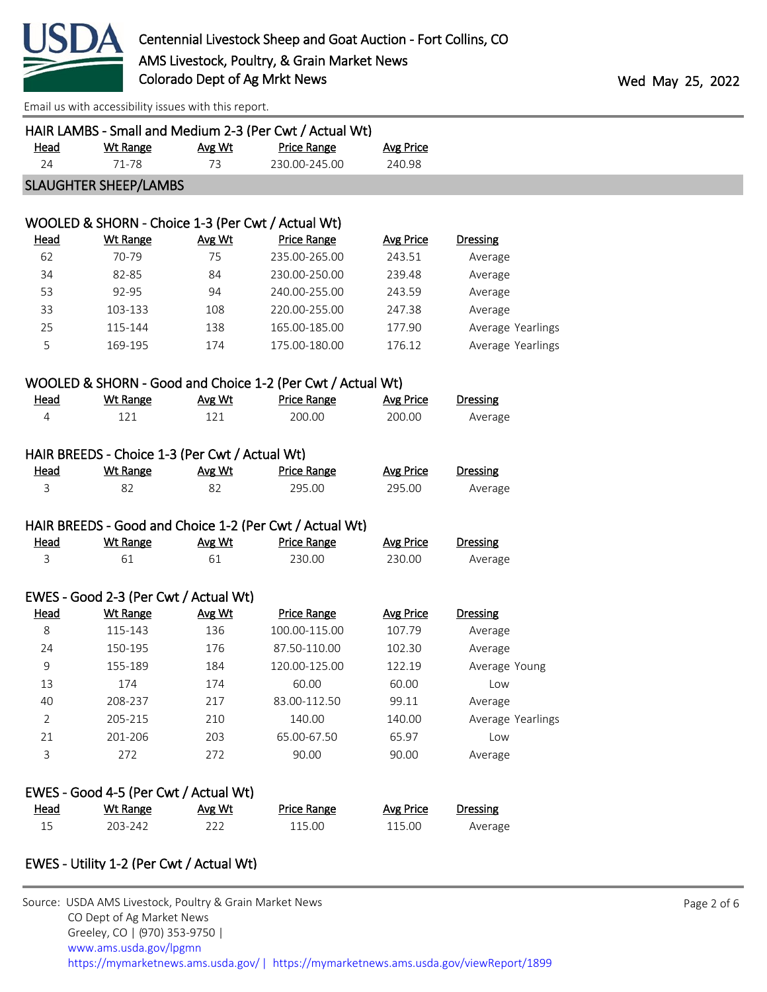

| <u>Head</u>    | <b>Wt Range</b>                                | Avg Wt | HAIR LAMBS - Small and Medium 2-3 (Per Cwt / Actual Wt)<br><b>Price Range</b> | <b>Avg Price</b> |                   |
|----------------|------------------------------------------------|--------|-------------------------------------------------------------------------------|------------------|-------------------|
| 24             | 71-78                                          | 73     | 230.00-245.00                                                                 | 240.98           |                   |
|                | <b>SLAUGHTER SHEEP/LAMBS</b>                   |        |                                                                               |                  |                   |
|                |                                                |        |                                                                               |                  |                   |
|                |                                                |        | WOOLED & SHORN - Choice 1-3 (Per Cwt / Actual Wt)                             |                  |                   |
| <b>Head</b>    | <b>Wt Range</b>                                | Avg Wt | <b>Price Range</b>                                                            | <b>Avg Price</b> | <b>Dressing</b>   |
| 62             | 70-79                                          | 75     | 235.00-265.00                                                                 | 243.51           | Average           |
| 34             | 82-85                                          | 84     | 230.00-250.00                                                                 | 239.48           | Average           |
| 53             | 92-95                                          | 94     | 240.00-255.00                                                                 | 243.59           | Average           |
| 33             | 103-133                                        | 108    | 220.00-255.00                                                                 | 247.38           | Average           |
| 25             | 115-144                                        | 138    | 165.00-185.00                                                                 | 177.90           | Average Yearlings |
| 5              | 169-195                                        | 174    | 175.00-180.00                                                                 | 176.12           | Average Yearlings |
|                |                                                |        |                                                                               |                  |                   |
|                |                                                |        | WOOLED & SHORN - Good and Choice 1-2 (Per Cwt / Actual Wt)                    |                  |                   |
| <b>Head</b>    | <b>Wt Range</b>                                | Avg Wt | <b>Price Range</b>                                                            | <b>Avg Price</b> | <b>Dressing</b>   |
| 4              | 121                                            | 121    | 200.00                                                                        | 200.00           | Average           |
|                |                                                |        |                                                                               |                  |                   |
|                | HAIR BREEDS - Choice 1-3 (Per Cwt / Actual Wt) |        |                                                                               |                  |                   |
| <u>Head</u>    | Wt Range                                       | Avg Wt | <b>Price Range</b>                                                            | <b>Avg Price</b> | <b>Dressing</b>   |
| 3              | 82                                             | 82     | 295.00                                                                        | 295.00           | Average           |
|                |                                                |        |                                                                               |                  |                   |
|                |                                                |        | HAIR BREEDS - Good and Choice 1-2 (Per Cwt / Actual Wt)                       |                  |                   |
| <u>Head</u>    | <b>Wt Range</b>                                | Avg Wt | <b>Price Range</b>                                                            | <b>Avg Price</b> | <b>Dressing</b>   |
| 3              | 61                                             | 61     | 230.00                                                                        | 230.00           | Average           |
|                |                                                |        |                                                                               |                  |                   |
|                | EWES - Good 2-3 (Per Cwt / Actual Wt)          |        |                                                                               |                  |                   |
| <b>Head</b>    | <b>Wt Range</b>                                | Avg Wt | <b>Price Range</b>                                                            | <b>Avg Price</b> | <b>Dressing</b>   |
| 8              | 115-143                                        | 136    | 100.00-115.00                                                                 | 107.79           | Average           |
| 24             | 150-195                                        | 176    | 87.50-110.00                                                                  | 102.30           | Average           |
| 9              | 155-189                                        | 184    | 120.00-125.00                                                                 | 122.19           | Average Young     |
| 13             | 174                                            | 174    | 60.00                                                                         | 60.00            | Low               |
| 40             | 208-237                                        | 217    | 83.00-112.50                                                                  | 99.11            | Average           |
| $\overline{2}$ | 205-215                                        | 210    | 140.00                                                                        | 140.00           | Average Yearlings |
| 21             | 201-206                                        | 203    | 65.00-67.50                                                                   | 65.97            | Low               |
| 3              | 272                                            | 272    | 90.00                                                                         | 90.00            | Average           |
|                |                                                |        |                                                                               |                  |                   |
|                | EWES - Good 4-5 (Per Cwt / Actual Wt)          |        |                                                                               |                  |                   |
| <b>Head</b>    | <b>Wt Range</b>                                | Avg Wt | <b>Price Range</b>                                                            | <b>Avg Price</b> | <b>Dressing</b>   |
| 15             | 203-242                                        | 222    | 115.00                                                                        | 115.00           | Average           |

## EWES - Utility 1-2 (Per Cwt / Actual Wt)

| Source: USDA AMS Livestock, Poultry & Grain Market News                               |
|---------------------------------------------------------------------------------------|
| CO Dept of Ag Market News                                                             |
| Greeley, CO   (970) 353-9750                                                          |
| www.ams.usda.gov/lpgmn                                                                |
| https://mymarketnews.ams.usda.gov/  https://mymarketnews.ams.usda.gov/viewReport/1899 |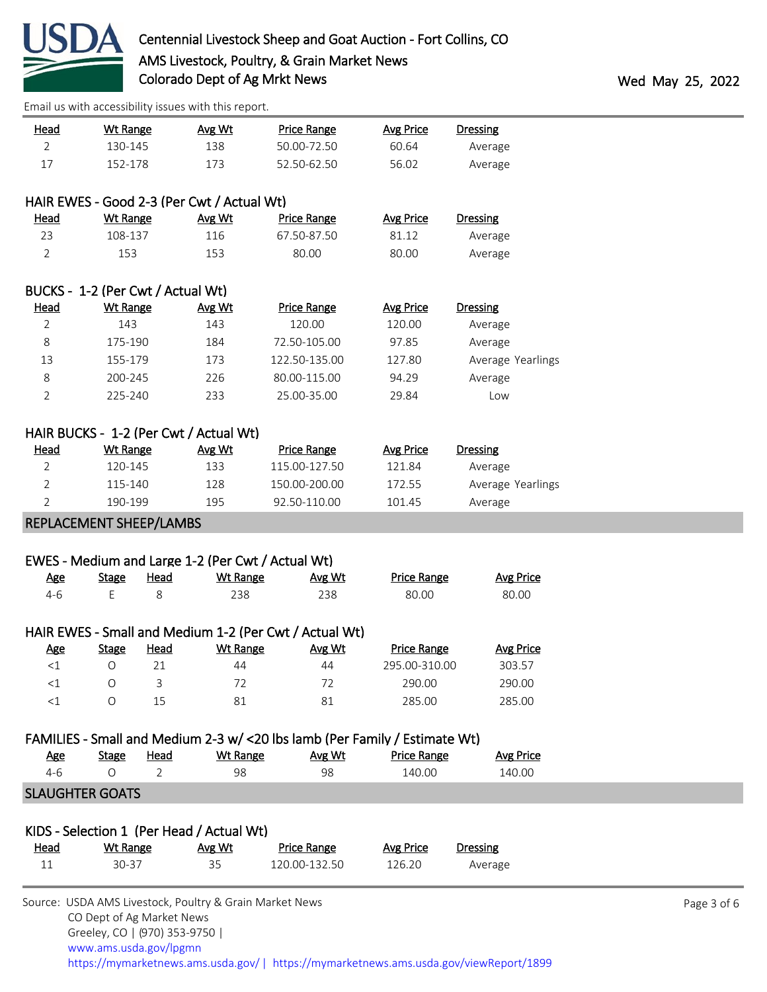

| <u>Head</u>                       | <b>Wt Range</b>              |             | Avg Wt                                                  | <b>Price Range</b>                                                         | <b>Avg Price</b>   | <b>Dressing</b>   |             |
|-----------------------------------|------------------------------|-------------|---------------------------------------------------------|----------------------------------------------------------------------------|--------------------|-------------------|-------------|
| $\overline{2}$                    | 130-145                      |             | 138                                                     | 50.00-72.50                                                                | 60.64              | Average           |             |
| 17                                | 152-178                      |             | 173                                                     | 52.50-62.50                                                                | 56.02              | Average           |             |
|                                   |                              |             | HAIR EWES - Good 2-3 (Per Cwt / Actual Wt)              |                                                                            |                    |                   |             |
| <b>Head</b>                       | <b>Wt Range</b>              |             | Avg Wt                                                  | <b>Price Range</b>                                                         | <b>Avg Price</b>   | <b>Dressing</b>   |             |
| 23                                | 108-137                      |             | 116                                                     | 67.50-87.50                                                                | 81.12              | Average           |             |
| $\overline{2}$                    | 153                          |             | 153                                                     | 80.00                                                                      | 80.00              | Average           |             |
| BUCKS - 1-2 (Per Cwt / Actual Wt) |                              |             |                                                         |                                                                            |                    |                   |             |
| <b>Head</b>                       | <b>Wt Range</b>              |             | Avg Wt                                                  | <b>Price Range</b>                                                         | <b>Avg Price</b>   | <b>Dressing</b>   |             |
| 2                                 | 143                          |             | 143                                                     | 120.00                                                                     | 120.00             | Average           |             |
| 8                                 | 175-190                      |             | 184                                                     | 72.50-105.00                                                               | 97.85              | Average           |             |
| 13                                | 155-179                      |             | 173                                                     | 122.50-135.00                                                              | 127.80             | Average Yearlings |             |
| 8                                 | 200-245                      |             | 226                                                     | 80.00-115.00                                                               | 94.29              | Average           |             |
| 2                                 | 225-240                      |             | 233                                                     | 25.00-35.00                                                                | 29.84              | Low               |             |
|                                   |                              |             |                                                         |                                                                            |                    |                   |             |
|                                   |                              |             | HAIR BUCKS - 1-2 (Per Cwt / Actual Wt)                  |                                                                            |                    |                   |             |
| <b>Head</b>                       | Wt Range                     |             | Avg Wt                                                  | <b>Price Range</b>                                                         | <b>Avg Price</b>   | <b>Dressing</b>   |             |
| $\overline{2}$                    | 120-145                      |             | 133                                                     | 115.00-127.50                                                              | 121.84             | Average           |             |
| 2                                 | 115-140                      |             | 128                                                     | 150.00-200.00                                                              | 172.55             | Average Yearlings |             |
| 2                                 | 190-199                      |             | 195                                                     | 92.50-110.00                                                               | 101.45             | Average           |             |
| REPLACEMENT SHEEP/LAMBS           |                              |             |                                                         |                                                                            |                    |                   |             |
|                                   |                              |             |                                                         |                                                                            |                    |                   |             |
|                                   |                              |             | EWES - Medium and Large 1-2 (Per Cwt / Actual Wt)       |                                                                            |                    |                   |             |
| <b>Age</b>                        | <b>Stage</b>                 | <b>Head</b> | <b>Wt Range</b>                                         | Avg Wt                                                                     | <b>Price Range</b> | <b>Avg Price</b>  |             |
| $4 - 6$                           | Ε                            | 8           | 238                                                     | 238                                                                        | 80.00              | 80.00             |             |
|                                   |                              |             |                                                         | HAIR EWES - Small and Medium 1-2 (Per Cwt / Actual Wt)                     |                    |                   |             |
| <u>Age</u>                        | <b>Stage</b>                 | <u>Head</u> | <b>Wt Range</b>                                         | Avg Wt                                                                     | <b>Price Range</b> | <b>Avg Price</b>  |             |
| ${<}1$                            | $\circ$                      | 21          | 44                                                      | 44                                                                         | 295.00-310.00      | 303.57            |             |
| <1                                | $\circ$                      | 3           | 72                                                      | 72                                                                         | 290.00             | 290.00            |             |
| $<1\,$                            | O                            | 15          | 81                                                      | 81                                                                         | 285.00             | 285.00            |             |
|                                   |                              |             |                                                         | FAMILIES - Small and Medium 2-3 w/ <20 lbs lamb (Per Family / Estimate Wt) |                    |                   |             |
| <b>Age</b>                        | <b>Stage</b>                 | Head        | <b>Wt Range</b>                                         | Avg Wt                                                                     | <b>Price Range</b> | <b>Avg Price</b>  |             |
| $4 - 6$                           | $\circ$                      | 2           | 98                                                      | 98                                                                         | 140.00             | 140.00            |             |
| <b>SLAUGHTER GOATS</b>            |                              |             |                                                         |                                                                            |                    |                   |             |
|                                   |                              |             |                                                         |                                                                            |                    |                   |             |
|                                   |                              |             | KIDS - Selection 1 (Per Head / Actual Wt)               |                                                                            |                    |                   |             |
| Head                              | <b>Wt Range</b>              |             | Avg Wt                                                  | <b>Price Range</b>                                                         | <b>Avg Price</b>   | <b>Dressing</b>   |             |
| 11                                | 30-37                        |             | 35                                                      | 120.00-132.50                                                              | 126.20             | Average           |             |
|                                   |                              |             | Source: USDA AMS Livestock, Poultry & Grain Market News |                                                                            |                    |                   | Page 3 of 6 |
|                                   | CO Dept of Ag Market News    |             |                                                         |                                                                            |                    |                   |             |
|                                   | Greeley, CO   (970) 353-9750 |             |                                                         |                                                                            |                    |                   |             |

 [www.ams.usda.gov/lpgmn](https://www.ams.usda.gov/market-news) <https://mymarketnews.ams.usda.gov/> [|](https://www.ams.usda.gov/market-news) <https://mymarketnews.ams.usda.gov/viewReport/1899>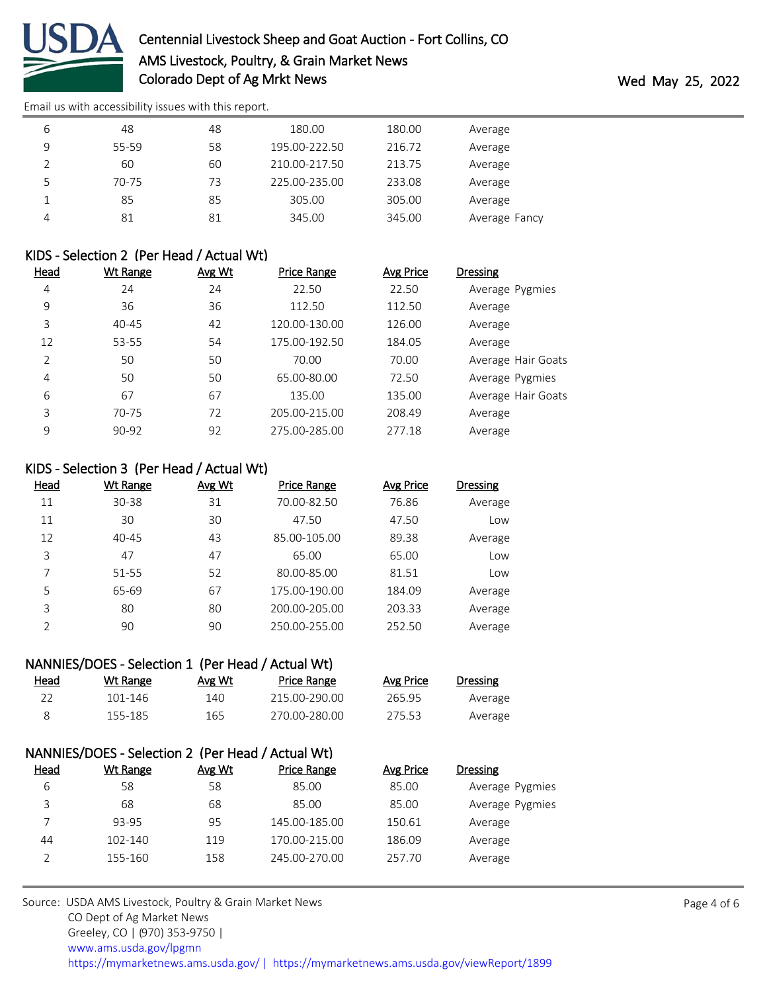

| 6 | 48    | 48 | 180.00        | 180.00 | Average       |
|---|-------|----|---------------|--------|---------------|
| 9 | 55-59 | 58 | 195.00-222.50 | 216.72 | Average       |
|   | 60    | 60 | 210.00-217.50 | 213.75 | Average       |
|   | 70-75 | 73 | 225.00-235.00 | 233.08 | Average       |
|   | 85    | 85 | 305.00        | 305.00 | Average       |
| 4 | 81    | 81 | 345.00        | 345.00 | Average Fancy |

#### KIDS - Selection 2 (Per Head / Actual Wt)

| <u>Head</u> | <b>Wt Range</b> | Avg Wt | <b>Price Range</b> | Avg Price | <b>Dressing</b>    |
|-------------|-----------------|--------|--------------------|-----------|--------------------|
| 4           | 24              | 24     | 22.50              | 22.50     | Average Pygmies    |
| 9           | 36              | 36     | 112.50             | 112.50    | Average            |
| 3           | 40-45           | 42     | 120.00-130.00      | 126.00    | Average            |
| 12          | 53-55           | 54     | 175.00-192.50      | 184.05    | Average            |
| 2           | 50              | 50     | 70.00              | 70.00     | Average Hair Goats |
| 4           | 50              | 50     | 65.00-80.00        | 72.50     | Average Pygmies    |
| 6           | 67              | 67     | 135.00             | 135.00    | Average Hair Goats |
| 3           | 70-75           | 72     | 205.00-215.00      | 208.49    | Average            |
| 9           | 90-92           | 92     | 275.00-285.00      | 277.18    | Average            |

### KIDS - Selection 3 (Per Head / Actual Wt)

| Head          | Wt Range  | Avg Wt | <b>Price Range</b> | Avg Price | <b>Dressing</b> |
|---------------|-----------|--------|--------------------|-----------|-----------------|
| 11            | 30-38     | 31     | 70.00-82.50        | 76.86     | Average         |
| 11            | 30        | 30     | 47.50              | 47.50     | Low             |
| 12            | $40 - 45$ | 43     | 85.00-105.00       | 89.38     | Average         |
| 3             | 47        | 47     | 65.00              | 65.00     | Low             |
| 7             | 51-55     | 52     | 80.00-85.00        | 81.51     | Low             |
| 5             | 65-69     | 67     | 175.00-190.00      | 184.09    | Average         |
| 3             | 80        | 80     | 200.00-205.00      | 203.33    | Average         |
| $\mathcal{D}$ | 90        | 90     | 250.00-255.00      | 252.50    | Average         |

# NANNIES/DOES - Selection 1 (Per Head / Actual Wt)

| Dressing | Avg Price | Price Range   | Avg Wt | Wt Range | <u>Head</u> |
|----------|-----------|---------------|--------|----------|-------------|
| Average  | 265.95    | 215.00-290.00 | 140    | 101-146  |             |
| Average  | 275.53    | 270.00-280.00 | 165    | 155-185  |             |

|             | NANNIES/DOES - Selection 2 (Per Head / Actual Wt) |        |                    |           |                 |
|-------------|---------------------------------------------------|--------|--------------------|-----------|-----------------|
| <u>Head</u> | Wt Range                                          | Avg Wt | <b>Price Range</b> | Avg Price | <b>Dressing</b> |
| 6           | 58                                                | 58     | 85.00              | 85.00     | Average Pygmies |
| 3           | 68                                                | 68     | 85.00              | 85.00     | Average Pygmies |
|             | 93-95                                             | 95     | 145.00-185.00      | 150.61    | Average         |
| 44          | 102-140                                           | 119    | 170.00-215.00      | 186.09    | Average         |
|             | 155-160                                           | 158    | 245.00-270.00      | 257.70    | Average         |

Source: USDA AMS Livestock, Poultry & Grain Market News CO Dept of Ag Market News Greeley, CO | (970) 353-9750 | [www.ams.usda.gov/lpgmn](https://www.ams.usda.gov/market-news) <https://mymarketnews.ams.usda.gov/> [|](https://www.ams.usda.gov/market-news) <https://mymarketnews.ams.usda.gov/viewReport/1899>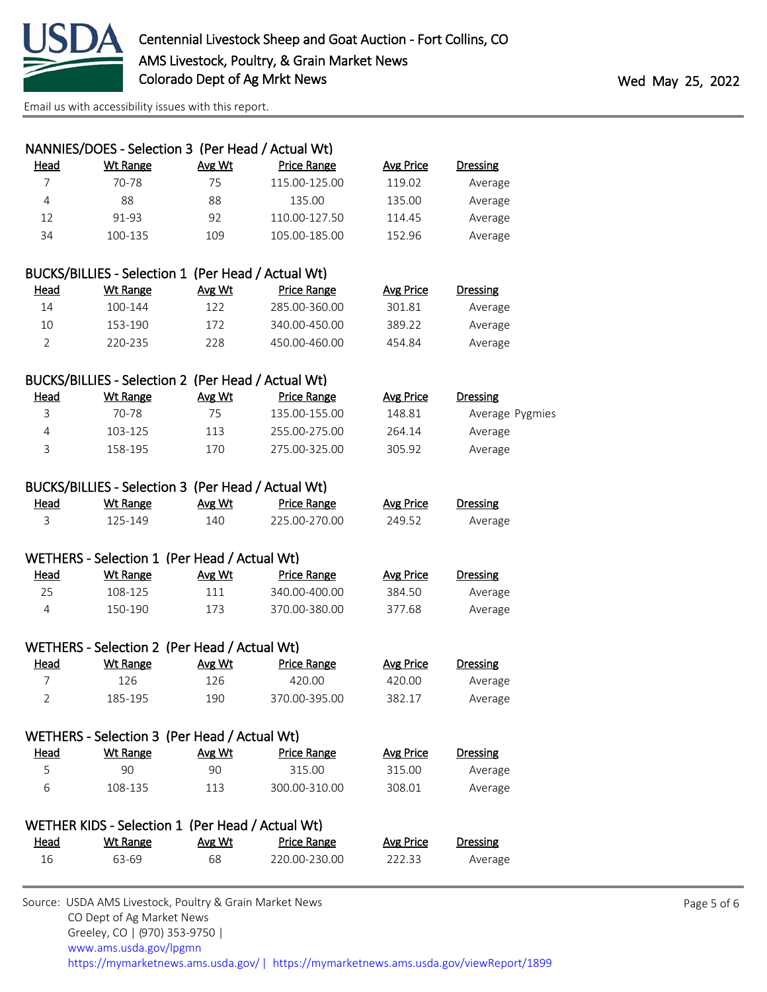

|                | NANNIES/DOES - Selection 3 (Per Head / Actual Wt)  |        |                    |                  |                 |
|----------------|----------------------------------------------------|--------|--------------------|------------------|-----------------|
| <b>Head</b>    | <b>Wt Range</b>                                    | Avg Wt | <b>Price Range</b> | <b>Avg Price</b> | <b>Dressing</b> |
| 7              | 70-78                                              | 75     | 115.00-125.00      | 119.02           | Average         |
| $\overline{4}$ | 88                                                 | 88     | 135.00             | 135.00           | Average         |
| 12             | 91-93                                              | 92     | 110.00-127.50      | 114.45           | Average         |
| 34             | 100-135                                            | 109    | 105.00-185.00      | 152.96           | Average         |
|                | BUCKS/BILLIES - Selection 1 (Per Head / Actual Wt) |        |                    |                  |                 |
| <u>Head</u>    | <b>Wt Range</b>                                    | Avg Wt | <b>Price Range</b> | <b>Avg Price</b> | <b>Dressing</b> |
| 14             | 100-144                                            | 122    | 285.00-360.00      | 301.81           | Average         |
| 10             | 153-190                                            | 172    | 340.00-450.00      | 389.22           | Average         |
| $\overline{2}$ | 220-235                                            | 228    | 450.00-460.00      | 454.84           | Average         |
|                |                                                    |        |                    |                  |                 |
|                | BUCKS/BILLIES - Selection 2 (Per Head / Actual Wt) |        |                    |                  |                 |
| Head           | <b>Wt Range</b>                                    | Avg Wt | Price Range        | <b>Avg Price</b> | <b>Dressing</b> |
| 3              | 70-78                                              | 75     | 135.00-155.00      | 148.81           | Average Pygmies |
| $\overline{4}$ | 103-125                                            | 113    | 255.00-275.00      | 264.14           | Average         |
| 3              | 158-195                                            | 170    | 275.00-325.00      | 305.92           | Average         |
|                | BUCKS/BILLIES - Selection 3 (Per Head / Actual Wt) |        |                    |                  |                 |
| <u>Head</u>    | <b>Wt Range</b>                                    | Avg Wt | <b>Price Range</b> | <b>Avg Price</b> | <b>Dressing</b> |
| $\overline{3}$ | 125-149                                            | 140    | 225.00-270.00      | 249.52           | Average         |
|                | WETHERS - Selection 1 (Per Head / Actual Wt)       |        |                    |                  |                 |
| <u>Head</u>    | <b>Wt Range</b>                                    | Avg Wt | <b>Price Range</b> | <b>Avg Price</b> | <b>Dressing</b> |
| 25             | 108-125                                            | 111    | 340.00-400.00      | 384.50           | Average         |
| 4              | 150-190                                            | 173    | 370.00-380.00      | 377.68           | Average         |
|                |                                                    |        |                    |                  |                 |
|                | WETHERS - Selection 2 (Per Head / Actual Wt)       |        |                    |                  |                 |
| Head           | <b>Wt Range</b>                                    | Avg Wt | <b>Price Range</b> | <b>Avg Price</b> | <b>Dressing</b> |
| 7              | 126                                                | 126    | 420.00             | 420.00           | Average         |
| $\overline{2}$ | 185-195                                            | 190    | 370.00-395.00      | 382.17           | Average         |
|                | WETHERS - Selection 3 (Per Head / Actual Wt)       |        |                    |                  |                 |
| Head           | <b>Wt Range</b>                                    | Avg Wt | <b>Price Range</b> | <b>Avg Price</b> | <b>Dressing</b> |
| 5              | 90                                                 | 90     | 315.00             | 315.00           | Average         |
| 6              | 108-135                                            | 113    | 300.00-310.00      | 308.01           | Average         |
|                |                                                    |        |                    |                  |                 |
|                | WETHER KIDS - Selection 1 (Per Head / Actual Wt)   |        |                    |                  |                 |
| <u>Head</u>    | Wt Range                                           | Avg Wt | <b>Price Range</b> | <b>Avg Price</b> | Dressing        |
| 16             | 63-69                                              | 68     | 220.00-230.00      | 222.33           | Average         |
|                |                                                    |        |                    |                  |                 |